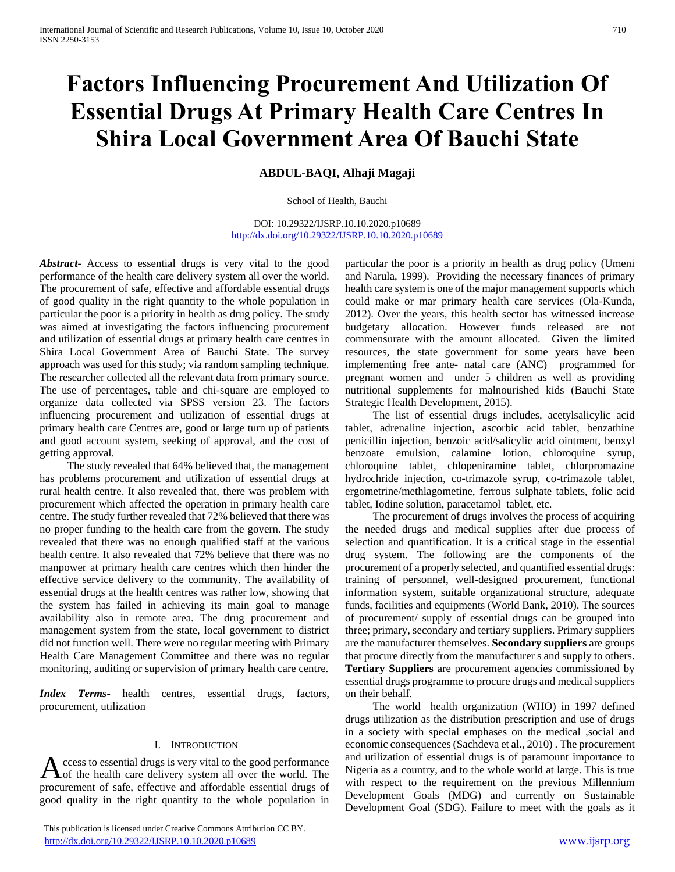# **Factors Influencing Procurement And Utilization Of Essential Drugs At Primary Health Care Centres In Shira Local Government Area Of Bauchi State**

# **ABDUL-BAQI, Alhaji Magaji**

School of Health, Bauchi

DOI: 10.29322/IJSRP.10.10.2020.p10689 <http://dx.doi.org/10.29322/IJSRP.10.10.2020.p10689>

*Abstract***-** Access to essential drugs is very vital to the good performance of the health care delivery system all over the world. The procurement of safe, effective and affordable essential drugs of good quality in the right quantity to the whole population in particular the poor is a priority in health as drug policy. The study was aimed at investigating the factors influencing procurement and utilization of essential drugs at primary health care centres in Shira Local Government Area of Bauchi State. The survey approach was used for this study; via random sampling technique. The researcher collected all the relevant data from primary source. The use of percentages, table and chi-square are employed to organize data collected via SPSS version 23. The factors influencing procurement and utilization of essential drugs at primary health care Centres are, good or large turn up of patients and good account system, seeking of approval, and the cost of getting approval.

 The study revealed that 64% believed that, the management has problems procurement and utilization of essential drugs at rural health centre. It also revealed that, there was problem with procurement which affected the operation in primary health care centre. The study further revealed that 72% believed that there was no proper funding to the health care from the govern. The study revealed that there was no enough qualified staff at the various health centre. It also revealed that 72% believe that there was no manpower at primary health care centres which then hinder the effective service delivery to the community. The availability of essential drugs at the health centres was rather low, showing that the system has failed in achieving its main goal to manage availability also in remote area. The drug procurement and management system from the state, local government to district did not function well. There were no regular meeting with Primary Health Care Management Committee and there was no regular monitoring, auditing or supervision of primary health care centre.

*Index Terms*- health centres, essential drugs, factors, procurement, utilization

#### I. INTRODUCTION

ccess to essential drugs is very vital to the good performance of the health care delivery system all over the world. The Access to essential drugs is very vital to the good performance<br>of the health care delivery system all over the world. The<br>procurement of safe, effective and affordable essential drugs of good quality in the right quantity to the whole population in

 This publication is licensed under Creative Commons Attribution CC BY. <http://dx.doi.org/10.29322/IJSRP.10.10.2020.p10689> [www.ijsrp.org](http://ijsrp.org/)

particular the poor is a priority in health as drug policy (Umeni and Narula, 1999). Providing the necessary finances of primary health care system is one of the major management supports which could make or mar primary health care services (Ola-Kunda, 2012). Over the years, this health sector has witnessed increase budgetary allocation. However funds released are not commensurate with the amount allocated. Given the limited resources, the state government for some years have been implementing free ante- natal care (ANC) programmed for pregnant women and under 5 children as well as providing nutritional supplements for malnourished kids (Bauchi State Strategic Health Development, 2015).

 The list of essential drugs includes, acetylsalicylic acid tablet, adrenaline injection, ascorbic acid tablet, benzathine penicillin injection, benzoic acid/salicylic acid ointment, benxyl benzoate emulsion, calamine lotion, chloroquine syrup, chloroquine tablet, chlopeniramine tablet, chlorpromazine hydrochride injection, co-trimazole syrup, co-trimazole tablet, ergometrine/methlagometine, ferrous sulphate tablets, folic acid tablet, Iodine solution, paracetamol tablet, etc.

 The procurement of drugs involves the process of acquiring the needed drugs and medical supplies after due process of selection and quantification. It is a critical stage in the essential drug system. The following are the components of the procurement of a properly selected, and quantified essential drugs: training of personnel, well-designed procurement, functional information system, suitable organizational structure, adequate funds, facilities and equipments (World Bank, 2010). The sources of procurement/ supply of essential drugs can be grouped into three; primary, secondary and tertiary suppliers. Primary suppliers are the manufacturer themselves. **Secondary suppliers** are groups that procure directly from the manufacturer s and supply to others. **Tertiary Suppliers** are procurement agencies commissioned by essential drugs programme to procure drugs and medical suppliers on their behalf.

 The world health organization (WHO) in 1997 defined drugs utilization as the distribution prescription and use of drugs in a society with special emphases on the medical ,social and economic consequences (Sachdeva et al., 2010) . The procurement and utilization of essential drugs is of paramount importance to Nigeria as a country, and to the whole world at large. This is true with respect to the requirement on the previous Millennium Development Goals (MDG) and currently on Sustainable Development Goal (SDG). Failure to meet with the goals as it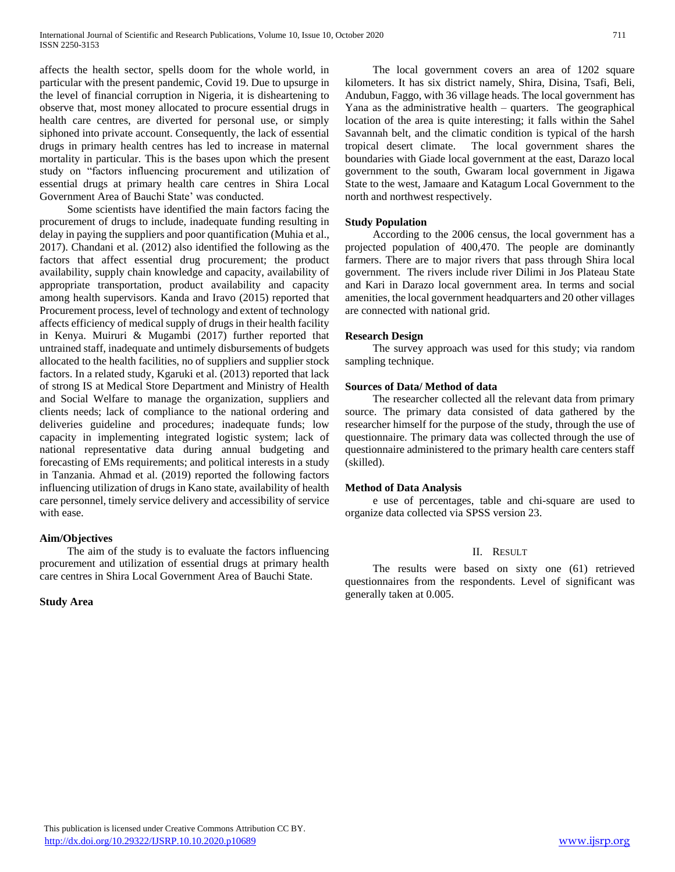affects the health sector, spells doom for the whole world, in particular with the present pandemic, Covid 19. Due to upsurge in the level of financial corruption in Nigeria, it is disheartening to observe that, most money allocated to procure essential drugs in health care centres, are diverted for personal use, or simply siphoned into private account. Consequently, the lack of essential drugs in primary health centres has led to increase in maternal mortality in particular. This is the bases upon which the present study on "factors influencing procurement and utilization of essential drugs at primary health care centres in Shira Local Government Area of Bauchi State' was conducted.

 Some scientists have identified the main factors facing the procurement of drugs to include, inadequate funding resulting in delay in paying the suppliers and poor quantification (Muhia et al., 2017). Chandani et al. (2012) also identified the following as the factors that affect essential drug procurement; the product availability, supply chain knowledge and capacity, availability of appropriate transportation, product availability and capacity among health supervisors. Kanda and Iravo (2015) reported that Procurement process, level of technology and extent of technology affects efficiency of medical supply of drugs in their health facility in Kenya. Muiruri & Mugambi (2017) further reported that untrained staff, inadequate and untimely disbursements of budgets allocated to the health facilities, no of suppliers and supplier stock factors. In a related study, Kgaruki et al. (2013) reported that lack of strong IS at Medical Store Department and Ministry of Health and Social Welfare to manage the organization, suppliers and clients needs; lack of compliance to the national ordering and deliveries guideline and procedures; inadequate funds; low capacity in implementing integrated logistic system; lack of national representative data during annual budgeting and forecasting of EMs requirements; and political interests in a study in Tanzania. Ahmad et al. (2019) reported the following factors influencing utilization of drugs in Kano state, availability of health care personnel, timely service delivery and accessibility of service with ease.

#### **Aim/Objectives**

 The aim of the study is to evaluate the factors influencing procurement and utilization of essential drugs at primary health care centres in Shira Local Government Area of Bauchi State.

#### **Study Area**

 The local government covers an area of 1202 square kilometers. It has six district namely, Shira, Disina, Tsafi, Beli, Andubun, Faggo, with 36 village heads. The local government has Yana as the administrative health – quarters. The geographical location of the area is quite interesting; it falls within the Sahel Savannah belt, and the climatic condition is typical of the harsh tropical desert climate. The local government shares the boundaries with Giade local government at the east, Darazo local government to the south, Gwaram local government in Jigawa State to the west, Jamaare and Katagum Local Government to the north and northwest respectively.

# **Study Population**

 According to the 2006 census, the local government has a projected population of 400,470. The people are dominantly farmers. There are to major rivers that pass through Shira local government. The rivers include river Dilimi in Jos Plateau State and Kari in Darazo local government area. In terms and social amenities, the local government headquarters and 20 other villages are connected with national grid.

#### **Research Design**

 The survey approach was used for this study; via random sampling technique.

# **Sources of Data/ Method of data**

 The researcher collected all the relevant data from primary source. The primary data consisted of data gathered by the researcher himself for the purpose of the study, through the use of questionnaire. The primary data was collected through the use of questionnaire administered to the primary health care centers staff (skilled).

#### **Method of Data Analysis**

 e use of percentages, table and chi-square are used to organize data collected via SPSS version 23.

#### II. RESULT

 The results were based on sixty one (61) retrieved questionnaires from the respondents. Level of significant was generally taken at 0.005.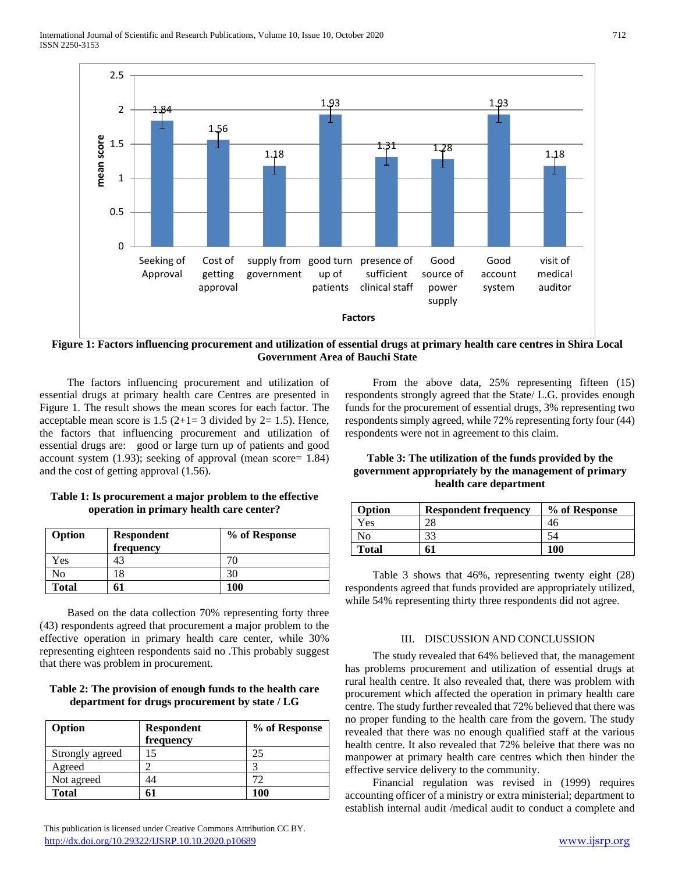

**Figure 1: Factors influencing procurement and utilization of essential drugs at primary health care centres in Shira Local Government Area of Bauchi State**

 The factors influencing procurement and utilization of essential drugs at primary health care Centres are presented in Figure 1. The result shows the mean scores for each factor. The acceptable mean score is  $1.5$  ( $2+1=3$  divided by  $2=1.5$ ). Hence, the factors that influencing procurement and utilization of essential drugs are: good or large turn up of patients and good account system (1.93); seeking of approval (mean score= 1.84) and the cost of getting approval (1.56).

# **Table 1: Is procurement a major problem to the effective operation in primary health care center?**

| Option       | <b>Respondent</b><br>frequency | % of Response |
|--------------|--------------------------------|---------------|
| Yes          |                                | 70            |
| No           | 18                             | 30            |
| <b>Total</b> |                                | 100           |

 Based on the data collection 70% representing forty three (43) respondents agreed that procurement a major problem to the effective operation in primary health care center, while 30% representing eighteen respondents said no .This probably suggest that there was problem in procurement.

# **Table 2: The provision of enough funds to the health care department for drugs procurement by state / LG**

| Option          | <b>Respondent</b> | % of Response |
|-----------------|-------------------|---------------|
|                 | frequency         |               |
| Strongly agreed | 15                | 25            |
| Agreed          |                   |               |
| Not agreed      | 44                | 72            |
| <b>Total</b>    |                   | 100           |

 From the above data, 25% representing fifteen (15) respondents strongly agreed that the State/ L.G. provides enough funds for the procurement of essential drugs, 3% representing two respondents simply agreed, while 72% representing forty four (44) respondents were not in agreement to this claim.

#### **Table 3: The utilization of the funds provided by the government appropriately by the management of primary health care department**

| Option | <b>Respondent frequency</b> | % of Response |
|--------|-----------------------------|---------------|
| Yes    | റ                           |               |
| NO     | つつ                          |               |
| Total  | 61                          | 100           |

 Table 3 shows that 46%, representing twenty eight (28) respondents agreed that funds provided are appropriately utilized, while 54% representing thirty three respondents did not agree.

#### III. DISCUSSION AND CONCLUSSION

 The study revealed that 64% believed that, the management has problems procurement and utilization of essential drugs at rural health centre. It also revealed that, there was problem with procurement which affected the operation in primary health care centre. The study further revealed that 72% believed that there was no proper funding to the health care from the govern. The study revealed that there was no enough qualified staff at the various health centre. It also revealed that 72% beleive that there was no manpower at primary health care centres which then hinder the effective service delivery to the community.

 Financial regulation was revised in (1999) requires accounting officer of a ministry or extra ministerial; department to establish internal audit /medical audit to conduct a complete and